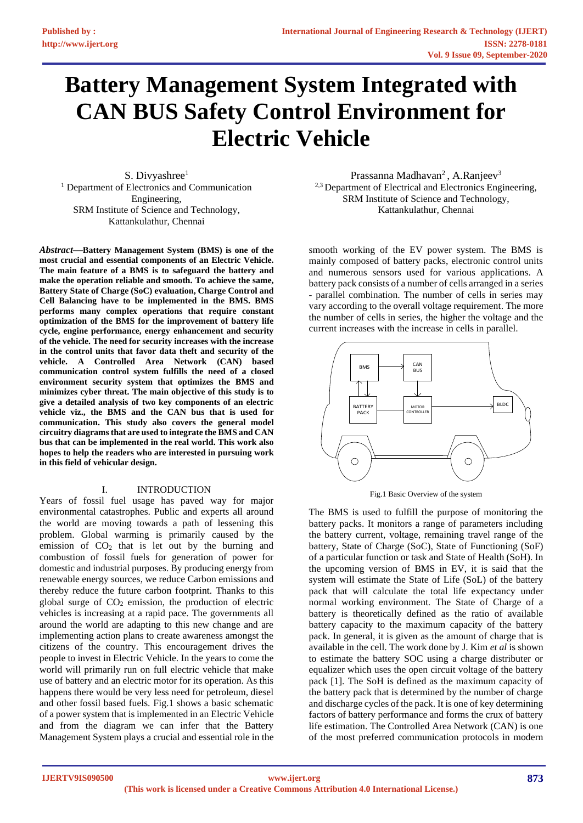# **Battery Management System Integrated with CAN BUS Safety Control Environment for Electric Vehicle**

S. Divyashree<sup>1</sup> <sup>1</sup> Department of Electronics and Communication Engineering, SRM Institute of Science and Technology, Kattankulathur, Chennai

*Abstract***—Battery Management System (BMS) is one of the most crucial and essential components of an Electric Vehicle. The main feature of a BMS is to safeguard the battery and make the operation reliable and smooth. To achieve the same, Battery State of Charge (SoC) evaluation, Charge Control and Cell Balancing have to be implemented in the BMS. BMS performs many complex operations that require constant optimization of the BMS for the improvement of battery life cycle, engine performance, energy enhancement and security of the vehicle. The need for security increases with the increase in the control units that favor data theft and security of the vehicle. A Controlled Area Network (CAN) based communication control system fulfills the need of a closed environment security system that optimizes the BMS and minimizes cyber threat. The main objective of this study is to give a detailed analysis of two key components of an electric vehicle viz., the BMS and the CAN bus that is used for communication. This study also covers the general model circuitry diagramsthat are used to integrate the BMS and CAN bus that can be implemented in the real world. This work also hopes to help the readers who are interested in pursuing work in this field of vehicular design.**

## I. INTRODUCTION

Years of fossil fuel usage has paved way for major environmental catastrophes. Public and experts all around the world are moving towards a path of lessening this problem. Global warming is primarily caused by the emission of  $CO<sub>2</sub>$  that is let out by the burning and combustion of fossil fuels for generation of power for domestic and industrial purposes. By producing energy from renewable energy sources, we reduce Carbon emissions and thereby reduce the future carbon footprint. Thanks to this global surge of  $CO<sub>2</sub>$  emission, the production of electric vehicles is increasing at a rapid pace. The governments all around the world are adapting to this new change and are implementing action plans to create awareness amongst the citizens of the country. This encouragement drives the people to invest in Electric Vehicle. In the years to come the world will primarily run on full electric vehicle that make use of battery and an electric motor for its operation. As this happens there would be very less need for petroleum, diesel and other fossil based fuels. Fig.1 shows a basic schematic of a power system that is implemented in an Electric Vehicle and from the diagram we can infer that the Battery Management System plays a crucial and essential role in the

Prassanna Madhavan<sup>2</sup>, A.Ranjeev<sup>3</sup> <sup>2,3</sup> Department of Electrical and Electronics Engineering, SRM Institute of Science and Technology, Kattankulathur, Chennai

smooth working of the EV power system. The BMS is mainly composed of battery packs, electronic control units and numerous sensors used for various applications. A battery pack consists of a number of cells arranged in a series - parallel combination. The number of cells in series may vary according to the overall voltage requirement. The more the number of cells in series, the higher the voltage and the current increases with the increase in cells in parallel.



Fig.1 Basic Overview of the system

The BMS is used to fulfill the purpose of monitoring the battery packs. It monitors a range of parameters including the battery current, voltage, remaining travel range of the battery, State of Charge (SoC), State of Functioning (SoF) of a particular function or task and State of Health (SoH). In the upcoming version of BMS in EV, it is said that the system will estimate the State of Life (SoL) of the battery pack that will calculate the total life expectancy under normal working environment. The State of Charge of a battery is theoretically defined as the ratio of available battery capacity to the maximum capacity of the battery pack. In general, it is given as the amount of charge that is available in the cell. The work done by J. Kim *et al* is shown to estimate the battery SOC using a charge distributer or equalizer which uses the open circuit voltage of the battery pack [1]. The SoH is defined as the maximum capacity of the battery pack that is determined by the number of charge and discharge cycles of the pack. It is one of key determining factors of battery performance and forms the crux of battery life estimation. The Controlled Area Network (CAN) is one of the most preferred communication protocols in modern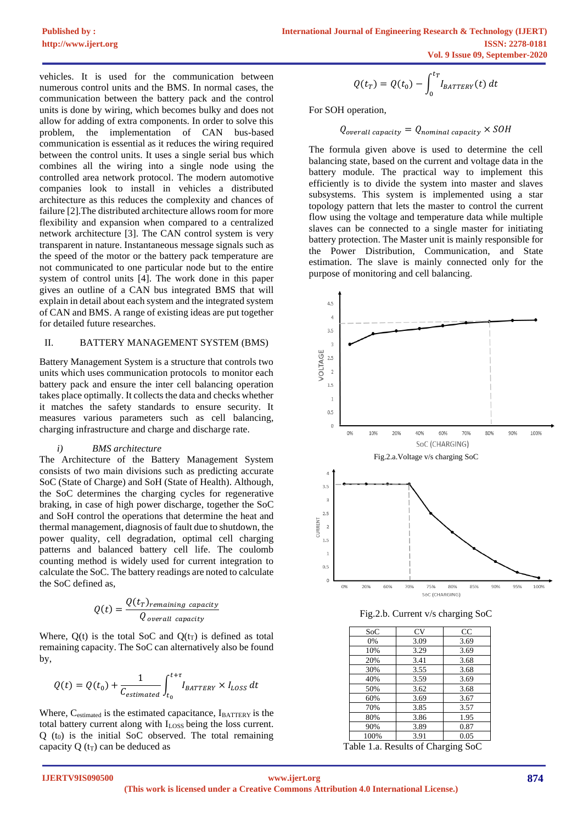vehicles. It is used for the communication between numerous control units and the BMS. In normal cases, the communication between the battery pack and the control units is done by wiring, which becomes bulky and does not allow for adding of extra components. In order to solve this problem, the implementation of CAN bus-based communication is essential as it reduces the wiring required between the control units. It uses a single serial bus which combines all the wiring into a single node using the controlled area network protocol. The modern automotive companies look to install in vehicles a distributed architecture as this reduces the complexity and chances of failure [2].The distributed architecture allows room for more flexibility and expansion when compared to a centralized network architecture [3]. The CAN control system is very transparent in nature. Instantaneous message signals such as the speed of the motor or the battery pack temperature are not communicated to one particular node but to the entire system of control units [4]. The work done in this paper gives an outline of a CAN bus integrated BMS that will explain in detail about each system and the integrated system of CAN and BMS. A range of existing ideas are put together for detailed future researches.

### II. BATTERY MANAGEMENT SYSTEM (BMS)

Battery Management System is a structure that controls two units which uses communication protocols to monitor each battery pack and ensure the inter cell balancing operation takes place optimally. It collects the data and checks whether it matches the safety standards to ensure security. It measures various parameters such as cell balancing, charging infrastructure and charge and discharge rate.

#### *i) BMS architecture*

The Architecture of the Battery Management System consists of two main divisions such as predicting accurate SoC (State of Charge) and SoH (State of Health). Although, the SoC determines the charging cycles for regenerative braking, in case of high power discharge, together the SoC and SoH control the operations that determine the heat and thermal management, diagnosis of fault due to shutdown, the power quality, cell degradation, optimal cell charging patterns and balanced battery cell life. The coulomb counting method is widely used for current integration to calculate the SoC. The battery readings are noted to calculate the SoC defined as,

$$
Q(t) = \frac{Q(t_T)_{remaining\ capacity}}{Q_{overall\ capacity}}
$$

Where,  $Q(t)$  is the total SoC and  $Q(t_T)$  is defined as total remaining capacity. The SoC can alternatively also be found by,

$$
Q(t) = Q(t_0) + \frac{1}{C_{estimated}} \int_{t_0}^{t+\tau} I_{BATTERY} \times I_{loss} dt
$$

Where, C<sub>estimated</sub> is the estimated capacitance, IBATTERY is the total battery current along with I<sub>LOSS</sub> being the loss current.  $Q(t_0)$  is the initial SoC observed. The total remaining capacity Q  $(t_T)$  can be deduced as

$$
Q(t_T) = Q(t_0) - \int_0^{t_T} I_{BATTERY}(t) dt
$$

For SOH operation,

$$
Q_{\text{overall capacity}} = Q_{\text{nominal capacity}} \times \text{SOH}
$$

The formula given above is used to determine the cell balancing state, based on the current and voltage data in the battery module. The practical way to implement this efficiently is to divide the system into master and slaves subsystems. This system is implemented using a star topology pattern that lets the master to control the current flow using the voltage and temperature data while multiple slaves can be connected to a single master for initiating battery protection. The Master unit is mainly responsible for the Power Distribution, Communication, and State estimation. The slave is mainly connected only for the purpose of monitoring and cell balancing.



Fig.2.b. Current v/s charging SoC

| SoC  | CV   | CC   |
|------|------|------|
| 0%   | 3.09 | 3.69 |
| 10%  | 3.29 | 3.69 |
| 20%  | 3.41 | 3.68 |
| 30%  | 3.55 | 3.68 |
| 40%  | 3.59 | 3.69 |
| 50%  | 3.62 | 3.68 |
| 60%  | 3.69 | 3.67 |
| 70%  | 3.85 | 3.57 |
| 80%  | 3.86 | 1.95 |
| 90%  | 3.89 | 0.87 |
| 100% | 3.91 | 0.05 |
|      |      |      |

Table 1.a. Results of Charging SoC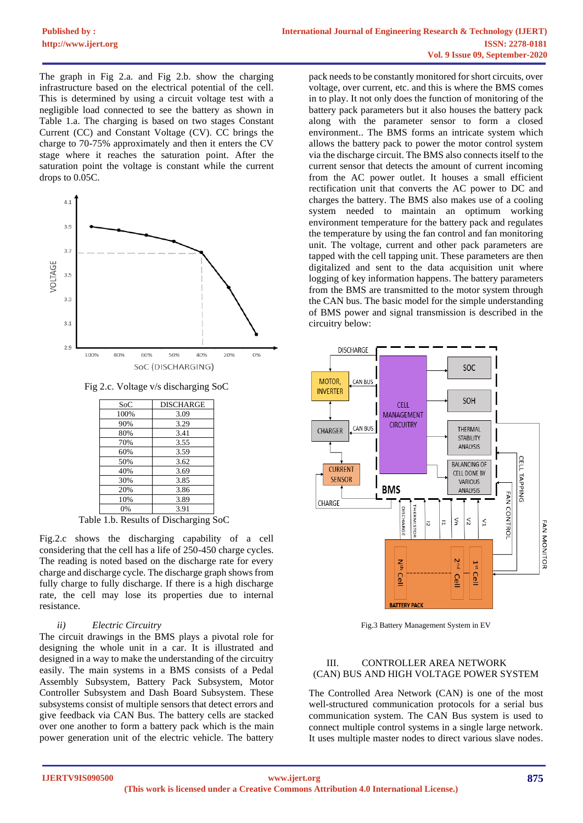The graph in Fig 2.a. and Fig 2.b. show the charging infrastructure based on the electrical potential of the cell. This is determined by using a circuit voltage test with a negligible load connected to see the battery as shown in Table 1.a. The charging is based on two stages Constant Current (CC) and Constant Voltage (CV). CC brings the charge to 70-75% approximately and then it enters the CV stage where it reaches the saturation point. After the saturation point the voltage is constant while the current drops to 0.05C.



Fig 2.c. Voltage v/s discharging SoC

| SoC  | <b>DISCHARGE</b> |
|------|------------------|
| 100% | 3.09             |
| 90%  | 3.29             |
| 80%  | 3.41             |
| 70%  | 3.55             |
| 60%  | 3.59             |
| 50%  | 3.62             |
| 40%  | 3.69             |
| 30%  | 3.85             |
| 20%  | 3.86             |
| 10%  | 3.89             |
| 0%   | 3.91             |

Table 1.b. Results of Discharging SoC

Fig.2.c shows the discharging capability of a cell considering that the cell has a life of 250-450 charge cycles. The reading is noted based on the discharge rate for every charge and discharge cycle. The discharge graph shows from fully charge to fully discharge. If there is a high discharge rate, the cell may lose its properties due to internal resistance.

## *ii) Electric Circuitry*

The circuit drawings in the BMS plays a pivotal role for designing the whole unit in a car. It is illustrated and designed in a way to make the understanding of the circuitry easily. The main systems in a BMS consists of a Pedal Assembly Subsystem, Battery Pack Subsystem, Motor Controller Subsystem and Dash Board Subsystem. These subsystems consist of multiple sensors that detect errors and give feedback via CAN Bus. The battery cells are stacked over one another to form a battery pack which is the main power generation unit of the electric vehicle. The battery

pack needs to be constantly monitored for short circuits, over voltage, over current, etc. and this is where the BMS comes in to play. It not only does the function of monitoring of the battery pack parameters but it also houses the battery pack along with the parameter sensor to form a closed environment.. The BMS forms an intricate system which allows the battery pack to power the motor control system via the discharge circuit. The BMS also connects itself to the current sensor that detects the amount of current incoming from the AC power outlet. It houses a small efficient rectification unit that converts the AC power to DC and charges the battery. The BMS also makes use of a cooling system needed to maintain an optimum working environment temperature for the battery pack and regulates the temperature by using the fan control and fan monitoring unit. The voltage, current and other pack parameters are tapped with the cell tapping unit. These parameters are then digitalized and sent to the data acquisition unit where logging of key information happens. The battery parameters from the BMS are transmitted to the motor system through the CAN bus. The basic model for the simple understanding of BMS power and signal transmission is described in the circuitry below:



Fig.3 Battery Management System in EV

## III. CONTROLLER AREA NETWORK (CAN) BUS AND HIGH VOLTAGE POWER SYSTEM

The Controlled Area Network (CAN) is one of the most well-structured communication protocols for a serial bus communication system. The CAN Bus system is used to connect multiple control systems in a single large network. It uses multiple master nodes to direct various slave nodes.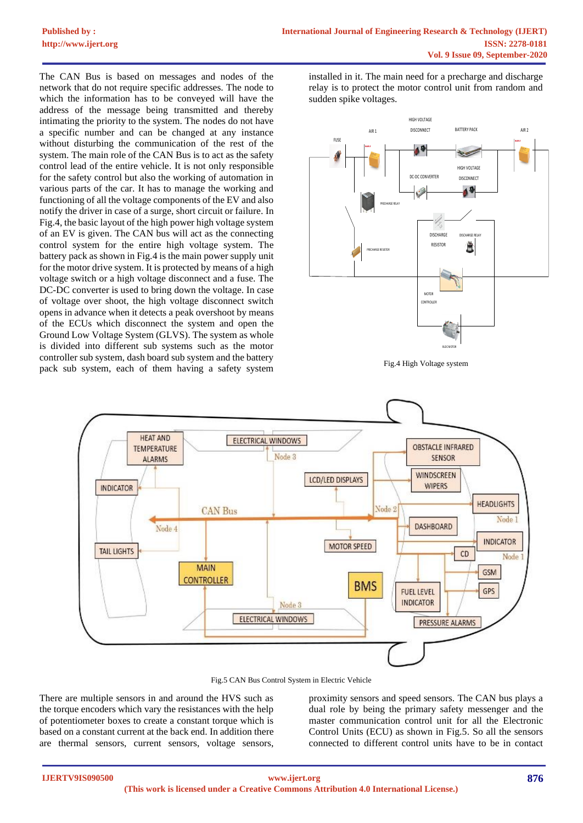The CAN Bus is based on messages and nodes of the network that do not require specific addresses. The node to which the information has to be conveyed will have the address of the message being transmitted and thereby intimating the priority to the system. The nodes do not have a specific number and can be changed at any instance without disturbing the communication of the rest of the system. The main role of the CAN Bus is to act as the safety control lead of the entire vehicle. It is not only responsible for the safety control but also the working of automation in various parts of the car. It has to manage the working and functioning of all the voltage components of the EV and also notify the driver in case of a surge, short circuit or failure. In Fig.4, the basic layout of the high power high voltage system of an EV is given. The CAN bus will act as the connecting control system for the entire high voltage system. The battery pack as shown in Fig.4 is the main power supply unit for the motor drive system. It is protected by means of a high voltage switch or a high voltage disconnect and a fuse. The DC-DC converter is used to bring down the voltage. In case of voltage over shoot, the high voltage disconnect switch opens in advance when it detects a peak overshoot by means of the ECUs which disconnect the system and open the Ground Low Voltage System (GLVS). The system as whole is divided into different sub systems such as the motor controller sub system, dash board sub system and the battery pack sub system, each of them having a safety system

installed in it. The main need for a precharge and discharge relay is to protect the motor control unit from random and sudden spike voltages.



Fig.4 High Voltage system



Fig.5 CAN Bus Control System in Electric Vehicle

There are multiple sensors in and around the HVS such as the torque encoders which vary the resistances with the help of potentiometer boxes to create a constant torque which is based on a constant current at the back end. In addition there are thermal sensors, current sensors, voltage sensors,

proximity sensors and speed sensors. The CAN bus plays a dual role by being the primary safety messenger and the master communication control unit for all the Electronic Control Units (ECU) as shown in Fig.5. So all the sensors connected to different control units have to be in contact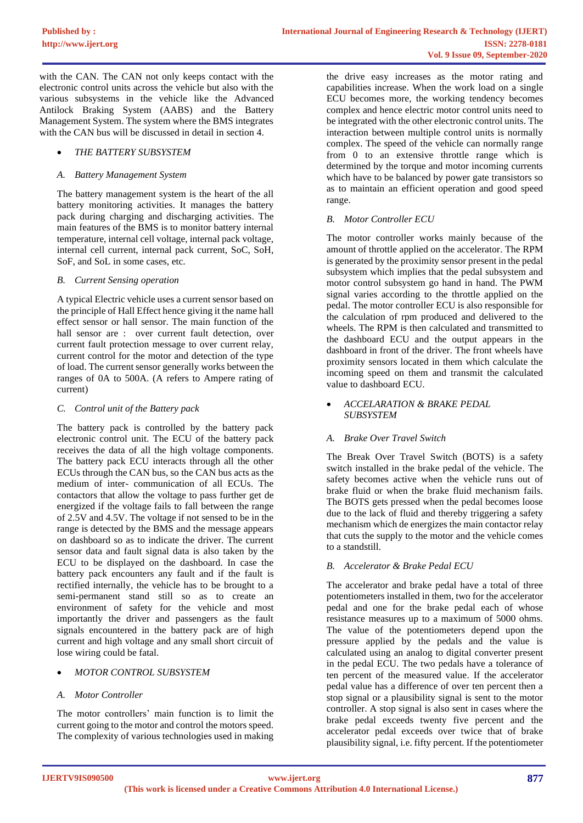with the CAN. The CAN not only keeps contact with the electronic control units across the vehicle but also with the various subsystems in the vehicle like the Advanced Antilock Braking System (AABS) and the Battery Management System. The system where the BMS integrates with the CAN bus will be discussed in detail in section 4.

## • *THE BATTERY SUBSYSTEM*

## *A. Battery Management System*

The battery management system is the heart of the all battery monitoring activities. It manages the battery pack during charging and discharging activities. The main features of the BMS is to monitor battery internal temperature, internal cell voltage, internal pack voltage, internal cell current, internal pack current, SoC, SoH, SoF, and SoL in some cases, etc.

## *B. Current Sensing operation*

A typical Electric vehicle uses a current sensor based on the principle of Hall Effect hence giving it the name hall effect sensor or hall sensor. The main function of the hall sensor are : over current fault detection, over current fault protection message to over current relay, current control for the motor and detection of the type of load. The current sensor generally works between the ranges of 0A to 500A. (A refers to Ampere rating of current)

## *C. Control unit of the Battery pack*

The battery pack is controlled by the battery pack electronic control unit. The ECU of the battery pack receives the data of all the high voltage components. The battery pack ECU interacts through all the other ECUs through the CAN bus, so the CAN bus acts as the medium of inter- communication of all ECUs. The contactors that allow the voltage to pass further get de energized if the voltage fails to fall between the range of 2.5V and 4.5V. The voltage if not sensed to be in the range is detected by the BMS and the message appears on dashboard so as to indicate the driver. The current sensor data and fault signal data is also taken by the ECU to be displayed on the dashboard. In case the battery pack encounters any fault and if the fault is rectified internally, the vehicle has to be brought to a semi-permanent stand still so as to create an environment of safety for the vehicle and most importantly the driver and passengers as the fault signals encountered in the battery pack are of high current and high voltage and any small short circuit of lose wiring could be fatal.

## • *MOTOR CONTROL SUBSYSTEM*

## *A. Motor Controller*

The motor controllers' main function is to limit the current going to the motor and control the motors speed. The complexity of various technologies used in making

the drive easy increases as the motor rating and capabilities increase. When the work load on a single ECU becomes more, the working tendency becomes complex and hence electric motor control units need to be integrated with the other electronic control units. The interaction between multiple control units is normally complex. The speed of the vehicle can normally range from 0 to an extensive throttle range which is determined by the torque and motor incoming currents which have to be balanced by power gate transistors so as to maintain an efficient operation and good speed range.

## *B. Motor Controller ECU*

The motor controller works mainly because of the amount of throttle applied on the accelerator. The RPM is generated by the proximity sensor present in the pedal subsystem which implies that the pedal subsystem and motor control subsystem go hand in hand. The PWM signal varies according to the throttle applied on the pedal. The motor controller ECU is also responsible for the calculation of rpm produced and delivered to the wheels. The RPM is then calculated and transmitted to the dashboard ECU and the output appears in the dashboard in front of the driver. The front wheels have proximity sensors located in them which calculate the incoming speed on them and transmit the calculated value to dashboard ECU.

## • *ACCELARATION & BRAKE PEDAL SUBSYSTEM*

## *A. Brake Over Travel Switch*

The Break Over Travel Switch (BOTS) is a safety switch installed in the brake pedal of the vehicle. The safety becomes active when the vehicle runs out of brake fluid or when the brake fluid mechanism fails. The BOTS gets pressed when the pedal becomes loose due to the lack of fluid and thereby triggering a safety mechanism which de energizes the main contactor relay that cuts the supply to the motor and the vehicle comes to a standstill.

## *B. Accelerator & Brake Pedal ECU*

The accelerator and brake pedal have a total of three potentiometers installed in them, two for the accelerator pedal and one for the brake pedal each of whose resistance measures up to a maximum of 5000 ohms. The value of the potentiometers depend upon the pressure applied by the pedals and the value is calculated using an analog to digital converter present in the pedal ECU. The two pedals have a tolerance of ten percent of the measured value. If the accelerator pedal value has a difference of over ten percent then a stop signal or a plausibility signal is sent to the motor controller. A stop signal is also sent in cases where the brake pedal exceeds twenty five percent and the accelerator pedal exceeds over twice that of brake plausibility signal, i.e. fifty percent. If the potentiometer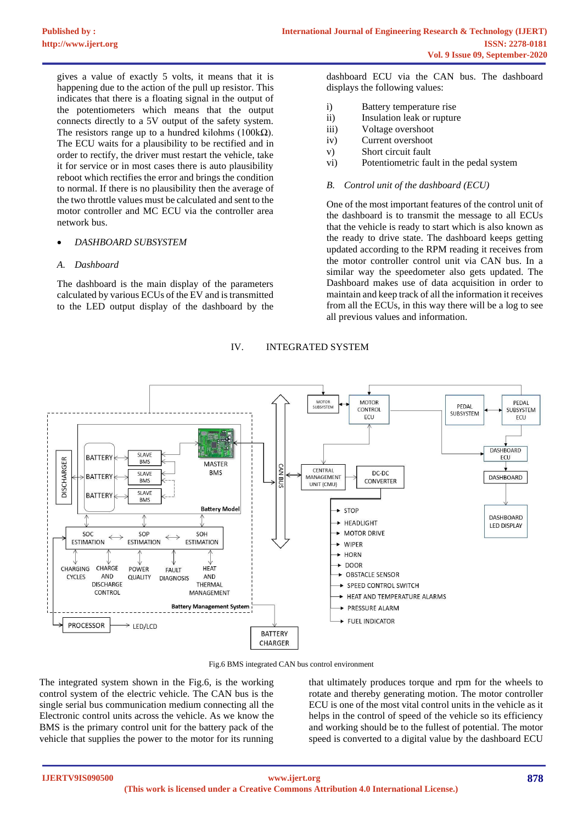gives a value of exactly 5 volts, it means that it is happening due to the action of the pull up resistor. This indicates that there is a floating signal in the output of the potentiometers which means that the output connects directly to a 5V output of the safety system. The resistors range up to a hundred kilohms (100kΩ). The ECU waits for a plausibility to be rectified and in order to rectify, the driver must restart the vehicle, take it for service or in most cases there is auto plausibility reboot which rectifies the error and brings the condition to normal. If there is no plausibility then the average of the two throttle values must be calculated and sent to the motor controller and MC ECU via the controller area network bus.

### • *DASHBOARD SUBSYSTEM*

### *A. Dashboard*

The dashboard is the main display of the parameters calculated by various ECUs of the EV and is transmitted to the LED output display of the dashboard by the dashboard ECU via the CAN bus. The dashboard displays the following values:

- i) Battery temperature rise
- ii) Insulation leak or rupture
- iii) Voltage overshoot
- iv) Current overshoot
- v) Short circuit fault
- vi) Potentiometric fault in the pedal system

#### *B. Control unit of the dashboard (ECU)*

One of the most important features of the control unit of the dashboard is to transmit the message to all ECUs that the vehicle is ready to start which is also known as the ready to drive state. The dashboard keeps getting updated according to the RPM reading it receives from the motor controller control unit via CAN bus. In a similar way the speedometer also gets updated. The Dashboard makes use of data acquisition in order to maintain and keep track of all the information it receives from all the ECUs, in this way there will be a log to see all previous values and information.



## IV. INTEGRATED SYSTEM

Fig.6 BMS integrated CAN bus control environment

The integrated system shown in the Fig.6, is the working control system of the electric vehicle. The CAN bus is the single serial bus communication medium connecting all the Electronic control units across the vehicle. As we know the BMS is the primary control unit for the battery pack of the vehicle that supplies the power to the motor for its running

that ultimately produces torque and rpm for the wheels to rotate and thereby generating motion. The motor controller ECU is one of the most vital control units in the vehicle as it helps in the control of speed of the vehicle so its efficiency and working should be to the fullest of potential. The motor speed is converted to a digital value by the dashboard ECU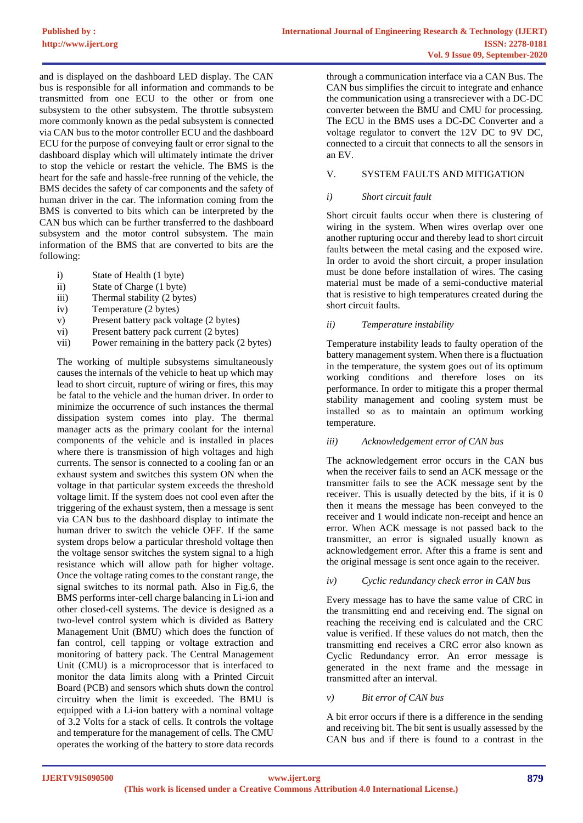and is displayed on the dashboard LED display. The CAN bus is responsible for all information and commands to be transmitted from one ECU to the other or from one subsystem to the other subsystem. The throttle subsystem more commonly known as the pedal subsystem is connected via CAN bus to the motor controller ECU and the dashboard ECU for the purpose of conveying fault or error signal to the dashboard display which will ultimately intimate the driver to stop the vehicle or restart the vehicle. The BMS is the heart for the safe and hassle-free running of the vehicle, the BMS decides the safety of car components and the safety of human driver in the car. The information coming from the BMS is converted to bits which can be interpreted by the CAN bus which can be further transferred to the dashboard subsystem and the motor control subsystem. The main information of the BMS that are converted to bits are the following:

- i) State of Health (1 byte)<br>ii) State of Charge (1 byte)
- State of Charge (1 byte)
- iii) Thermal stability (2 bytes)
- iv) Temperature (2 bytes)
- v) Present battery pack voltage (2 bytes)
- vi) Present battery pack current (2 bytes)
- vii) Power remaining in the battery pack (2 bytes)

The working of multiple subsystems simultaneously causes the internals of the vehicle to heat up which may lead to short circuit, rupture of wiring or fires, this may be fatal to the vehicle and the human driver. In order to minimize the occurrence of such instances the thermal dissipation system comes into play. The thermal manager acts as the primary coolant for the internal components of the vehicle and is installed in places where there is transmission of high voltages and high currents. The sensor is connected to a cooling fan or an exhaust system and switches this system ON when the voltage in that particular system exceeds the threshold voltage limit. If the system does not cool even after the triggering of the exhaust system, then a message is sent via CAN bus to the dashboard display to intimate the human driver to switch the vehicle OFF. If the same system drops below a particular threshold voltage then the voltage sensor switches the system signal to a high resistance which will allow path for higher voltage. Once the voltage rating comes to the constant range, the signal switches to its normal path. Also in Fig.6, the BMS performs inter-cell charge balancing in Li-ion and other closed-cell systems. The device is designed as a two-level control system which is divided as Battery Management Unit (BMU) which does the function of fan control, cell tapping or voltage extraction and monitoring of battery pack. The Central Management Unit (CMU) is a microprocessor that is interfaced to monitor the data limits along with a Printed Circuit Board (PCB) and sensors which shuts down the control circuitry when the limit is exceeded. The BMU is equipped with a Li-ion battery with a nominal voltage of 3.2 Volts for a stack of cells. It controls the voltage and temperature for the management of cells. The CMU operates the working of the battery to store data records

through a communication interface via a CAN Bus. The CAN bus simplifies the circuit to integrate and enhance the communication using a transreciever with a DC-DC converter between the BMU and CMU for processing. The ECU in the BMS uses a DC-DC Converter and a voltage regulator to convert the 12V DC to 9V DC, connected to a circuit that connects to all the sensors in an EV.

## V. SYSTEM FAULTS AND MITIGATION

### *i) Short circuit fault*

Short circuit faults occur when there is clustering of wiring in the system. When wires overlap over one another rupturing occur and thereby lead to short circuit faults between the metal casing and the exposed wire. In order to avoid the short circuit, a proper insulation must be done before installation of wires. The casing material must be made of a semi-conductive material that is resistive to high temperatures created during the short circuit faults.

## *ii) Temperature instability*

Temperature instability leads to faulty operation of the battery management system. When there is a fluctuation in the temperature, the system goes out of its optimum working conditions and therefore loses on its performance. In order to mitigate this a proper thermal stability management and cooling system must be installed so as to maintain an optimum working temperature.

## *iii) Acknowledgement error of CAN bus*

The acknowledgement error occurs in the CAN bus when the receiver fails to send an ACK message or the transmitter fails to see the ACK message sent by the receiver. This is usually detected by the bits, if it is 0 then it means the message has been conveyed to the receiver and 1 would indicate non-receipt and hence an error. When ACK message is not passed back to the transmitter, an error is signaled usually known as acknowledgement error. After this a frame is sent and the original message is sent once again to the receiver.

## *iv) Cyclic redundancy check error in CAN bus*

Every message has to have the same value of CRC in the transmitting end and receiving end. The signal on reaching the receiving end is calculated and the CRC value is verified. If these values do not match, then the transmitting end receives a CRC error also known as Cyclic Redundancy error. An error message is generated in the next frame and the message in transmitted after an interval.

## *v) Bit error of CAN bus*

A bit error occurs if there is a difference in the sending and receiving bit. The bit sent is usually assessed by the CAN bus and if there is found to a contrast in the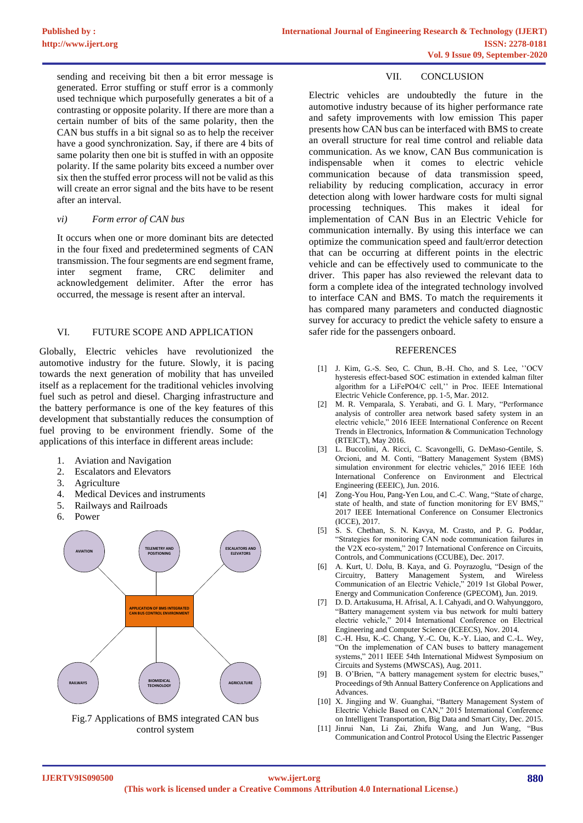sending and receiving bit then a bit error message is generated. Error stuffing or stuff error is a commonly used technique which purposefully generates a bit of a contrasting or opposite polarity. If there are more than a certain number of bits of the same polarity, then the CAN bus stuffs in a bit signal so as to help the receiver have a good synchronization. Say, if there are 4 bits of same polarity then one bit is stuffed in with an opposite polarity. If the same polarity bits exceed a number over six then the stuffed error process will not be valid as this will create an error signal and the bits have to be resent after an interval.

#### *vi) Form error of CAN bus*

It occurs when one or more dominant bits are detected in the four fixed and predetermined segments of CAN transmission. The four segments are end segment frame, inter segment frame, CRC delimiter and acknowledgement delimiter. After the error has occurred, the message is resent after an interval.

#### VI. FUTURE SCOPE AND APPLICATION

Globally, Electric vehicles have revolutionized the automotive industry for the future. Slowly, it is pacing towards the next generation of mobility that has unveiled itself as a replacement for the traditional vehicles involving fuel such as petrol and diesel. Charging infrastructure and the battery performance is one of the key features of this development that substantially reduces the consumption of fuel proving to be environment friendly. Some of the applications of this interface in different areas include:

- 1. Aviation and Navigation
- 2. Escalators and Elevators
- 3. Agriculture
- 4. Medical Devices and instruments
- 5. Railways and Railroads
- 6. Power



Fig.7 Applications of BMS integrated CAN bus control system

#### VII. CONCLUSION

Electric vehicles are undoubtedly the future in the automotive industry because of its higher performance rate and safety improvements with low emission This paper presents how CAN bus can be interfaced with BMS to create an overall structure for real time control and reliable data communication. As we know, CAN Bus communication is indispensable when it comes to electric vehicle communication because of data transmission speed, reliability by reducing complication, accuracy in error detection along with lower hardware costs for multi signal processing techniques. This makes it ideal for implementation of CAN Bus in an Electric Vehicle for communication internally. By using this interface we can optimize the communication speed and fault/error detection that can be occurring at different points in the electric vehicle and can be effectively used to communicate to the driver. This paper has also reviewed the relevant data to form a complete idea of the integrated technology involved to interface CAN and BMS. To match the requirements it has compared many parameters and conducted diagnostic survey for accuracy to predict the vehicle safety to ensure a safer ride for the passengers onboard.

#### REFERENCES

- [1] J. Kim, G.-S. Seo, C. Chun, B.-H. Cho, and S. Lee, "OCV hysteresis effect-based SOC estimation in extended kalman filter algorithm for a LiFePO4/C cell,'' in Proc. IEEE International Electric Vehicle Conference, pp. 1-5, Mar. 2012.
- [2] M. R. Vemparala, S. Yerabati, and G. I. Mary, "Performance analysis of controller area network based safety system in an electric vehicle," 2016 IEEE International Conference on Recent Trends in Electronics, Information & Communication Technology (RTEICT), May 2016.
- [3] L. Buccolini, A. Ricci, C. Scavongelli, G. DeMaso-Gentile, S. Orcioni, and M. Conti, "Battery Management System (BMS) simulation environment for electric vehicles," 2016 IEEE 16th International Conference on Environment and Electrical Engineering (EEEIC), Jun. 2016.
- [4] Zong-You Hou, Pang-Yen Lou, and C.-C. Wang, "State of charge, state of health, and state of function monitoring for EV BMS," 2017 IEEE International Conference on Consumer Electronics (ICCE), 2017.
- [5] S. S. Chethan, S. N. Kavya, M. Crasto, and P. G. Poddar, "Strategies for monitoring CAN node communication failures in the V2X eco-system," 2017 International Conference on Circuits, Controls, and Communications (CCUBE), Dec. 2017.
- [6] A. Kurt, U. Dolu, B. Kaya, and G. Poyrazoglu, "Design of the Circuitry, Battery Management System, and Wireless Communication of an Electric Vehicle," 2019 1st Global Power, Energy and Communication Conference (GPECOM), Jun. 2019.
- [7] D. D. Artakusuma, H. Afrisal, A. I. Cahyadi, and O. Wahyunggoro, "Battery management system via bus network for multi battery electric vehicle," 2014 International Conference on Electrical Engineering and Computer Science (ICEECS), Nov. 2014.
- [8] C.-H. Hsu, K.-C. Chang, Y.-C. Ou, K.-Y. Liao, and C.-L. Wey, "On the implemenation of CAN buses to battery management systems," 2011 IEEE 54th International Midwest Symposium on Circuits and Systems (MWSCAS), Aug. 2011.
- [9] B. O'Brien, "A battery management system for electric buses," Proceedings of 9th Annual Battery Conference on Applications and Advances.
- [10] X. Jingjing and W. Guanghai, "Battery Management System of Electric Vehicle Based on CAN," 2015 International Conference on Intelligent Transportation, Big Data and Smart City, Dec. 2015.
- [11] Jinrui Nan, Li Zai, Zhifu Wang, and Jun Wang, "Bus Communication and Control Protocol Using the Electric Passenger